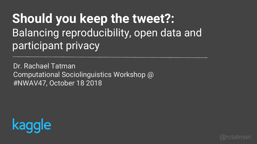# **Should you keep the tweet?:**  Balancing reproducibility, open data and participant privacy

Dr. Rachael Tatman Computational Sociolinguistics Workshop @ #NWAV47, October 18 2018



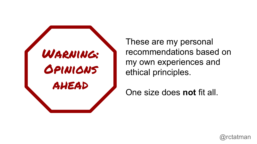

These are my personal recommendations based on my own experiences and ethical principles.

One size does **not** fit all.

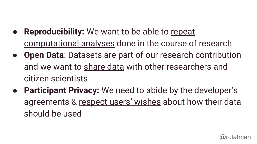- **Reproducibility:** We want to be able to repeat computational analyses done in the course of research
- **Open Data:** Datasets are part of our research contribution and we want to share data with other researchers and citizen scientists
- **Participant Privacy:** We need to abide by the developer's agreements & respect users' wishes about how their data should be used

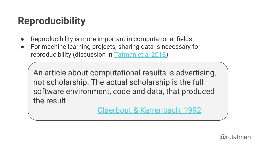# **Reproducibility**

- Reproducibility is more important in computational fields
- For machine learning projects, sharing data is necessary for reproducibility (discussion in [Tatman et al 2018](http://www.rctatman.com/files/2018-7-14-MLReproducability.pdf))

An article about computational results is advertising, not scholarship. The actual scholarship is the full software environment, code and data, that produced the result.

[Claerbout & Karrenbach, 1992](http://sepwww.stanford.edu/doku.php?id=sep:research:reproducible:seg92)

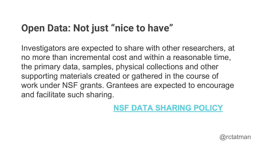# **Open Data: Not just "nice to have"**

Investigators are expected to share with other researchers, at no more than incremental cost and within a reasonable time, the primary data, samples, physical collections and other supporting materials created or gathered in the course of work under NSF grants. Grantees are expected to encourage and facilitate such sharing.

## **[NSF DATA SHARING POLICY](https://www.nsf.gov/bfa/dias/policy/dmp.jsp)**

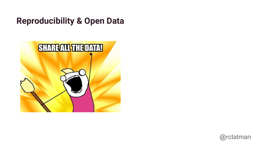## **Reproducibility & Open Data**



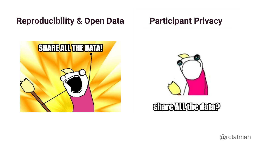## **Reproducibility & Open Data Participant Privacy**

# **SHAREALL THE DATA!**





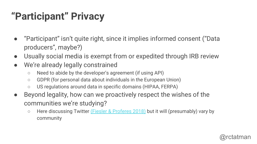# **"Participant" Privacy**

- "Participant" isn't quite right, since it implies informed consent ("Data producers", maybe?)
- Usually social media is exempt from or expedited through IRB review
- We're already legally constrained
	- Need to abide by the developer's agreement (if using API)
	- GDPR (for personal data about individuals in the European Union)
	- US regulations around data in specific domains (HIPAA, FERPA)
- Beyond legality, how can we proactively respect the wishes of the communities we're studying?
	- Here discussing Twitter [\(Fiesler & Proferes 2018\)](http://journals.sagepub.com/doi/10.1177/2056305118763366) but it will (presumably) vary by community

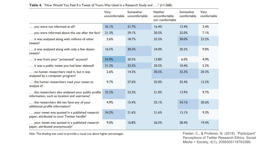|                                                                                                  | Very<br>uncomfortable | Somewhat<br>uncomfortable | Neither<br>uncomfortable<br>nor comfortable | Somewhat<br>comfortable | Very<br>comfortable |
|--------------------------------------------------------------------------------------------------|-----------------------|---------------------------|---------------------------------------------|-------------------------|---------------------|
| you were not informed at all?                                                                    | 35.1%                 | 31.7%                     | 16.4%                                       | 13.4%                   | 3.4%                |
| you were informed about the use after the fact?                                                  | 21.3%                 | 29.1%                     | 20.5%                                       | 22.0%                   | 7.1%                |
| it was analyzed along with millions of other<br>tweets?                                          | 2.6%                  | 18.7%                     | 25.5%                                       | 30.0%                   | 23.2%               |
| it was analyzed along with only a few dozen<br>tweets?                                           | 16.5%                 | 30.3%                     | 24.0%                                       | 20.2%                   | 9.0%                |
| it was from your "protected" account?                                                            | 54.9%                 | 20.5%                     | 13.8%                                       | 6.0%                    | 4.9%                |
| it was a public tweet you had later deleted?                                                     | 31.3%                 | 32.5%                     | 20.5%                                       | 10.4%                   | 5.2%                |
| no human researchers read it, but it was<br>analyzed by a computer program?                      | 2.6%                  | 14.3%                     | 30.5%                                       | 32.3%                   | 20.3%               |
| the human researchers read your tweet to<br>analyze it?                                          | 9.7%                  | 27.6%                     | 25.0%                                       | 25.4%                   | 12.3%               |
| the researchers also analyzed your public profile<br>information, such as location and username? | 32.2%                 | 23.2%                     | 21.0%                                       | 13.9%                   | 9.7%                |
| the researchers did not have any of your<br>additional profile information?                      | 4.9%                  | 15.4%                     | 25.1%                                       | 34.1%                   | 20.6%               |
| your tweet was quoted in a published research<br>paper, attributed to your Twitter handle?       | 34.3%                 | 21.6%                     | 21.6%                                       | 13.1%                   | 9.3%                |
| your tweet was quoted in a published research<br>paper, attributed anonymously?                  | 9.0%                  | 16.8%                     | 26.5%                                       | 28.4%                   | 19.4%               |

### Table 4. "How Would You Feel If a Tweet of Yours Was Used in a Research Study and . . ." (n=268).

Note. The shading was used to provide a visual cue about higher percentages.

Fiesler, C., & Proferes, N. (2018). "Participant"<br>Perceptions of Twitter Research Ethics. Social Media + Society, 4(1), 2056305118763366.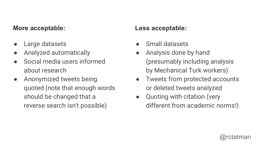## **More acceptable: Less acceptable:**

- Large datasets
- Analyzed automatically
- Social media users informed about research
- Anonymized tweets being quoted (note that enough words should be changed that a reverse search isn't possible)

- Small datasets
- Analysis done by hand (presumably including analysis by Mechanical Turk workers)
- Tweets from protected accounts or deleted tweets analyzed
- Quoting with citation (very different from academic norms!)

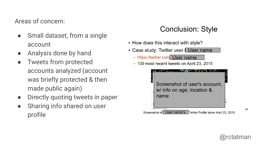## Areas of concern:

- Small dataset, from a single account
- Analysis done by hand
- Tweets from protected accounts analyzed (account was briefly protected & then made public again)
- Directly quoting tweets in paper
- Sharing info shared on user profile

## **Conclusion: Style**

- How does this interact with style?
- Case study: Twitter user I User name
	- https://twitter.com User name
	- 100 most recent tweets on April 23, 2015



26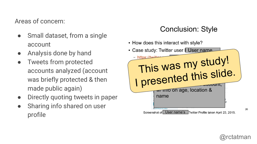## Areas of concern:

- Small dataset, from a single account
- Analysis done by hand
- Tweets from protected accounts analyzed (account was briefly protected & then made public again)
- Directly quoting tweets in paper
- Sharing info shared on user profile

## **Conclusion: Style**

• How does this interact with style?

| • Case study: Twitter user   User name                                                                                          |
|---------------------------------------------------------------------------------------------------------------------------------|
| https://twit-<br>This was my study!<br>I presented this slide.<br>voint on age, location &<br>name<br>[5] 273 Photos and videos |
| User name's<br>Screenshot of<br>Twitter Profile taken April 23, 2015.                                                           |



26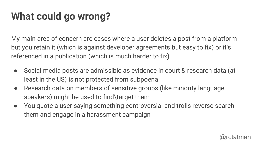# **What could go wrong?**

My main area of concern are cases where a user deletes a post from a platform but you retain it (which is against developer agreements but easy to fix) or it's referenced in a publication (which is much harder to fix)

- Social media posts are admissible as evidence in court & research data (at least in the US) is not protected from subpoena
- Research data on members of sensitive groups (like minority language speakers) might be used to find\target them
- You quote a user saying something controversial and trolls reverse search them and engage in a harassment campaign

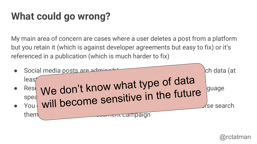# **What could go wrong?**

My main area of concern are cases where a user deletes a post from a platform but you retain it (which is against developer agreements but easy to fix) or it's referenced in a publication (which is much harder to fix)



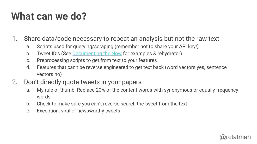# **What can we do?**

- 1. Share data/code necessary to repeat an analysis but not the raw text
	- a. Scripts used for querying/scraping (remember not to share your API key!)
	- b. Tweet ID's (See [Documenting the Now](https://www.docnow.io/) for examples & rehydrator)
	- c. Preprocessing scripts to get from text to your features
	- d. Features that can't be reverse engineered to get text back (word vectors yes, sentence vectors no)
- 2. Don't directly quote tweets in your papers
	- a. My rule of thumb: Replace 20% of the content words with synonymous or equally frequency words
	- b. Check to make sure you can't reverse search the tweet from the text
	- c. Exception: viral or newsworthy tweets

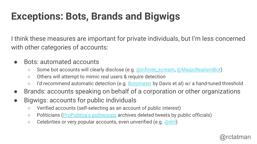# **Exceptions: Bots, Brands and Bigwigs**

I think these measures are important for private individuals, but I'm less concerned with other categories of accounts:

- Bots: automated accounts
	- Some bot accounts will clearly disclose (e.g. [@infinite\\_scream,](https://twitter.com/infinite_scream) [@MagicRealismBot](https://twitter.com/MagicRealismBot))
	- Others will attempt to mimic real users & require detection
	- I'd recommend automatic detection (e.g. **[Botometer](https://botometer.iuni.iu.edu/#!/)** by Davis et al) w/ a hand-tuned threshold
- Brands: accounts speaking on behalf of a corporation or other organizations
- Bigwigs: accounts for public individuals
	- Verified accounts (self-selecting as an account of public interest)
	- Politicians [\(ProPublica's politwoops](https://projects.propublica.org/politwoops/) archives deleted tweets by public officials)
	- Celebrities or very popular accounts, even unverified (e.g. [@dril\)](https://twitter.com/dril)